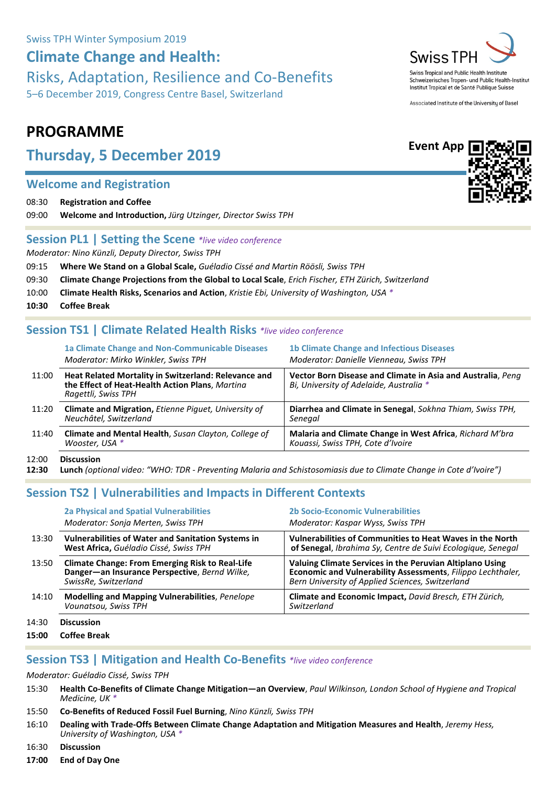**Climate Change and Health:**

# Risks, Adaptation, Resilience and Co-Benefits

5–6 December 2019, Congress Centre Basel, Switzerland

# **PROGRAMME**

**Thursday, 5 December 2019**

## **Welcome and Registration**

08:30 **Registration and Coffee**

09:00 **Welcome and Introduction,** *Jürg Utzinger, Director Swiss TPH*

## **Session PL1 | Setting the Scene** *\*live video conference*

*Moderator: Nino Künzli, Deputy Director, Swiss TPH*

- 09:15 **Where We Stand on a Global Scale,** *Guéladio Cissé and Martin Röösli, Swiss TPH*
- 09:30 **Climate Change Projections from the Global to Local Scale**, *Erich Fischer, ETH Zürich, Switzerland*
- 10:00 **Climate Health Risks, Scenarios and Action**, *Kristie Ebi, University of Washington, USA \**

**10:30 Coffee Break**

## **Session TS1 | Climate Related Health Risks** *\*live video conference*

|       | 1a Climate Change and Non-Communicable Diseases<br>Moderator: Mirko Winkler, Swiss TPH                                         | <b>1b Climate Change and Infectious Diseases</b><br>Moderator: Danielle Vienneau, Swiss TPH            |
|-------|--------------------------------------------------------------------------------------------------------------------------------|--------------------------------------------------------------------------------------------------------|
| 11:00 | Heat Related Mortality in Switzerland: Relevance and<br>the Effect of Heat-Health Action Plans, Martina<br>Ragettli, Swiss TPH | Vector Born Disease and Climate in Asia and Australia, Peng<br>Bi, University of Adelaide, Australia * |
| 11:20 | <b>Climate and Migration, Etienne Piguet, University of</b><br>Neuchâtel, Switzerland                                          | Diarrhea and Climate in Senegal, Sokhna Thiam, Swiss TPH,<br>Senegal                                   |
| 11:40 | Climate and Mental Health, Susan Clayton, College of<br>Wooster, USA *                                                         | Malaria and Climate Change in West Africa, Richard M'bra<br>Kouassi, Swiss TPH, Cote d'Ivoire          |

#### 12:00 **Discussion**

**12:30 Lunch** *(optional video: "WHO: TDR - Preventing Malaria and Schistosomiasis due to Climate Change in Cote d'Ivoire")*

## **Session TS2 | Vulnerabilities and Impacts in Different Contexts**

|       | <b>2a Physical and Spatial Vulnerabilities</b><br>Moderator: Sonja Merten, Swiss TPH                                            | <b>2b Socio-Economic Vulnerabilities</b><br>Moderator: Kaspar Wyss, Swiss TPH                                                                                               |
|-------|---------------------------------------------------------------------------------------------------------------------------------|-----------------------------------------------------------------------------------------------------------------------------------------------------------------------------|
| 13:30 | <b>Vulnerabilities of Water and Sanitation Systems in</b><br>West Africa, Guéladio Cissé, Swiss TPH                             | Vulnerabilities of Communities to Heat Waves in the North<br>of Senegal, Ibrahima Sy, Centre de Suivi Ecologique, Senegal                                                   |
| 13:50 | <b>Climate Change: From Emerging Risk to Real-Life</b><br>Danger-an Insurance Perspective, Bernd Wilke,<br>SwissRe, Switzerland | Valuing Climate Services in the Peruvian Altiplano Using<br>Economic and Vulnerability Assessments, Filippo Lechthaler,<br>Bern University of Applied Sciences, Switzerland |
| 14:10 | <b>Modelling and Mapping Vulnerabilities, Penelope</b><br>Vounatsou, Swiss TPH                                                  | Climate and Economic Impact, David Bresch, ETH Zürich,<br>Switzerland                                                                                                       |

#### 14:30 **Discussion**

**15:00 Coffee Break**

## **Session TS3 | Mitigation and Health Co-Benefits** *\*live video conference*

#### *Moderator: Guéladio Cissé, Swiss TPH*

- 15:30 **Health Co-Benefits of Climate Change Mitigation—an Overview**, *Paul Wilkinson, London School of Hygiene and Tropical Medicine, UK \**
- 15:50 **Co-Benefits of Reduced Fossil Fuel Burning**, *Nino Künzli, Swiss TPH*
- 16:10 **Dealing with Trade-Offs Between Climate Change Adaptation and Mitigation Measures and Health**, *Jeremy Hess, University of Washington, USA \**
- 16:30 **Discussion**
- **17:00 End of Day One**



Associated Institute of the University of Basel

# **Event App**